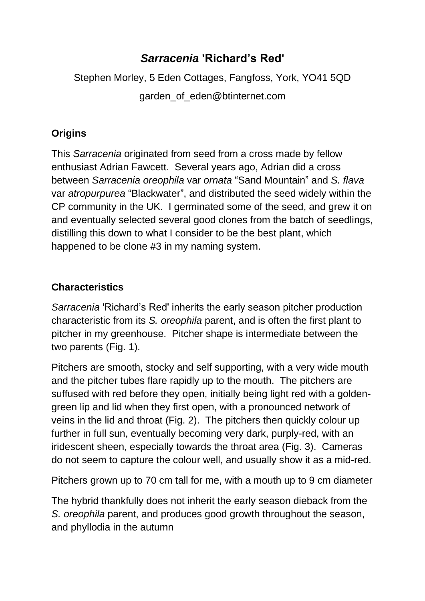# *Sarracenia* **'Richard's Red'**

Stephen Morley, 5 Eden Cottages, Fangfoss, York, YO41 5QD

garden\_of\_eden@btinternet.com

## **Origins**

This *Sarracenia* originated from seed from a cross made by fellow enthusiast Adrian Fawcett. Several years ago, Adrian did a cross between *Sarracenia oreophila* var *ornata* "Sand Mountain" and *S. flava* var *atropurpurea* "Blackwater", and distributed the seed widely within the CP community in the UK. I germinated some of the seed, and grew it on and eventually selected several good clones from the batch of seedlings, distilling this down to what I consider to be the best plant, which happened to be clone #3 in my naming system.

### **Characteristics**

*Sarracenia* 'Richard's Red' inherits the early season pitcher production characteristic from its *S. oreophila* parent, and is often the first plant to pitcher in my greenhouse. Pitcher shape is intermediate between the two parents (Fig. 1).

Pitchers are smooth, stocky and self supporting, with a very wide mouth and the pitcher tubes flare rapidly up to the mouth. The pitchers are suffused with red before they open, initially being light red with a goldengreen lip and lid when they first open, with a pronounced network of veins in the lid and throat (Fig. 2). The pitchers then quickly colour up further in full sun, eventually becoming very dark, purply-red, with an iridescent sheen, especially towards the throat area (Fig. 3). Cameras do not seem to capture the colour well, and usually show it as a mid-red.

Pitchers grown up to 70 cm tall for me, with a mouth up to 9 cm diameter

The hybrid thankfully does not inherit the early season dieback from the *S. oreophila* parent, and produces good growth throughout the season, and phyllodia in the autumn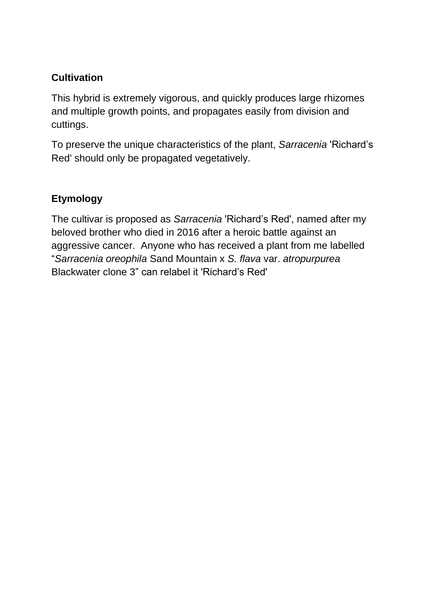### **Cultivation**

This hybrid is extremely vigorous, and quickly produces large rhizomes and multiple growth points, and propagates easily from division and cuttings.

To preserve the unique characteristics of the plant, *Sarracenia* 'Richard's Red' should only be propagated vegetatively.

### **Etymology**

The cultivar is proposed as *Sarracenia* 'Richard's Red', named after my beloved brother who died in 2016 after a heroic battle against an aggressive cancer. Anyone who has received a plant from me labelled "*Sarracenia oreophila* Sand Mountain x *S. flava* var. *atropurpurea* Blackwater clone 3" can relabel it 'Richard's Red'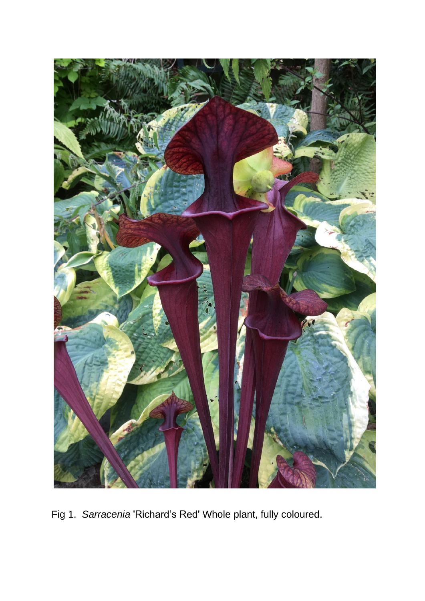

Fig 1. *Sarracenia* 'Richard's Red' Whole plant, fully coloured.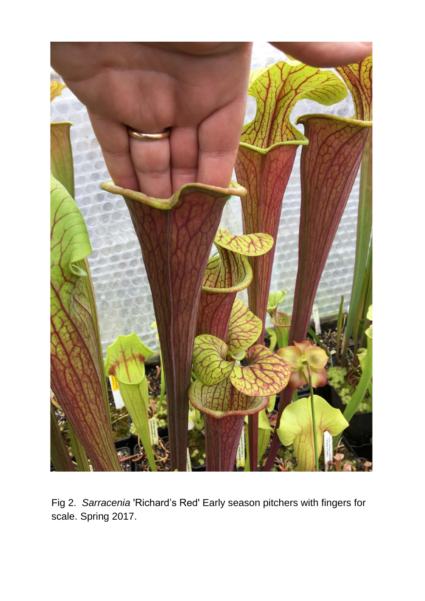

Fig 2. *Sarracenia* 'Richard's Red' Early season pitchers with fingers for scale. Spring 2017.